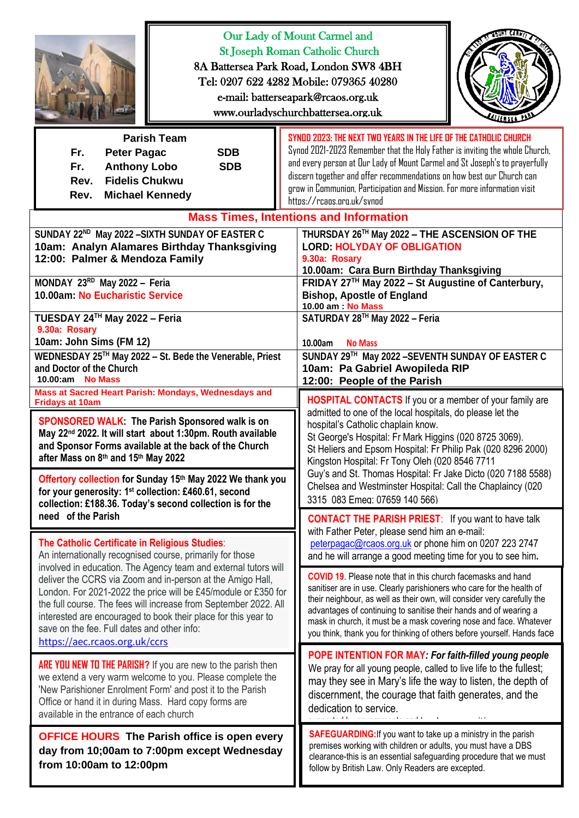| asun cree<br>Our Lady of Mount Carmel and<br><b>St Joseph Roman Catholic Church</b><br>8A Battersea Park Road, London SW8 4BH<br>Tel: 0207 622 4282 Mobile: 079365 40280<br>e-mail: batterseapark@rcaos.org.uk<br>www.ourladyschurchbattersea.org.uk                                                                                                                      |                                                                                                                                                                                                                                                                                                                                                                                                                                                                             |
|---------------------------------------------------------------------------------------------------------------------------------------------------------------------------------------------------------------------------------------------------------------------------------------------------------------------------------------------------------------------------|-----------------------------------------------------------------------------------------------------------------------------------------------------------------------------------------------------------------------------------------------------------------------------------------------------------------------------------------------------------------------------------------------------------------------------------------------------------------------------|
| <b>Parish Team</b><br><b>SDB</b><br>Fr.<br><b>Peter Pagac</b><br>Fr.<br><b>Anthony Lobo</b><br><b>SDB</b><br><b>Fidelis Chukwu</b><br>Rev.<br><b>Michael Kennedy</b><br>Rev.                                                                                                                                                                                              | SYNDD 2023: THE NEXT TWO YEARS IN THE LIFE OF THE CATHOLIC CHURCH<br>Synod 2021-2023 Remember that the Holy Father is inviting the whole Church,<br>and every person at Our Lady of Mount Carmel and St Joseph's to prayerfully<br>discern together and offer recommendations on how best our Church can<br>grow in Communion, Participation and Mission. For more information visit<br>https://rcaps.org.uk/synod                                                          |
| SUNDAY 22 <sup>ND</sup> May 2022 - SIXTH SUNDAY OF EASTER C<br>10am: Analyn Alamares Birthday Thanksgiving<br>12:00: Palmer & Mendoza Family                                                                                                                                                                                                                              | <b>Mass Times, Intentions and Information</b><br>THURSDAY 26TH May 2022 - THE ASCENSION OF THE<br><b>LORD: HOLYDAY OF OBLIGATION</b><br>9.30a: Rosary<br>10.00am: Cara Burn Birthday Thanksgiving                                                                                                                                                                                                                                                                           |
| MONDAY 23RD May 2022 - Feria<br>10.00am: No Eucharistic Service                                                                                                                                                                                                                                                                                                           | FRIDAY 27TH May 2022 - St Augustine of Canterbury,<br><b>Bishop, Apostle of England</b><br>10.00 am : No Mass                                                                                                                                                                                                                                                                                                                                                               |
| TUESDAY 24TH May 2022 - Feria<br>9.30a: Rosary<br>10am: John Sims (FM 12)                                                                                                                                                                                                                                                                                                 | SATURDAY 28TH May 2022 - Feria<br>10.00am<br><b>No Mass</b>                                                                                                                                                                                                                                                                                                                                                                                                                 |
| WEDNESDAY 25™ May 2022 - St. Bede the Venerable, Priest<br>and Doctor of the Church<br>10.00:am No Mass                                                                                                                                                                                                                                                                   | SUNDAY 29TH May 2022 - SEVENTH SUNDAY OF EASTER C<br>10am: Pa Gabriel Awopileda RIP<br>12:00: People of the Parish                                                                                                                                                                                                                                                                                                                                                          |
| Mass at Sacred Heart Parish: Mondays, Wednesdays and<br><b>Fridays at 10am</b><br>SPONSORED WALK: The Parish Sponsored walk is on<br>May 22 <sup>nd</sup> 2022. It will start about 1:30pm. Routh available<br>and Sponsor Forms available at the back of the Church<br>after Mass on 8th and 15th May 2022<br>Offertory collection for Sunday 15th May 2022 We thank you | <b>HOSPITAL CONTACTS</b> If you or a member of your family are<br>admitted to one of the local hospitals, do please let the<br>hospital's Catholic chaplain know.<br>St George's Hospital: Fr Mark Higgins (020 8725 3069).<br>St Heliers and Epsom Hospital: Fr Philip Pak (020 8296 2000)<br>Kingston Hospital: Fr Tony Oleh (020 8546 7711<br>Guy's and St. Thomas Hospital: Fr Jake Dicto (020 7188 5588)<br>Chelsea and Westminster Hospital: Call the Chaplaincy (020 |
| for your generosity: 1 <sup>st</sup> collection: £460.61, second<br>collection: £188.36. Today's second collection is for the<br>need of the Parish                                                                                                                                                                                                                       | 3315 083 Emeg: 07659 140 566)<br><b>CONTACT THE PARISH PRIEST:</b> If you want to have talk<br>with Father Peter, please send him an e-mail:                                                                                                                                                                                                                                                                                                                                |
| The Catholic Certificate in Religious Studies:<br>An internationally recognised course, primarily for those<br>involved in education. The Agency team and external tutors will                                                                                                                                                                                            | peterpagac@rcaos.org.uk or phone him on 0207 223 2747<br>and he will arrange a good meeting time for you to see him.                                                                                                                                                                                                                                                                                                                                                        |
| deliver the CCRS via Zoom and in-person at the Amigo Hall,<br>London. For 2021-2022 the price will be £45/module or £350 for<br>the full course. The fees will increase from September 2022. All<br>interested are encouraged to book their place for this year to<br>save on the fee. Full dates and other info:<br>https://aec.rcaos.org.uk/ccrs                        | <b>COVID 19.</b> Please note that in this church facemasks and hand<br>sanitiser are in use. Clearly parishioners who care for the health of<br>their neighbour, as well as their own, will consider very carefully the<br>advantages of continuing to sanitise their hands and of wearing a<br>mask in church, it must be a mask covering nose and face. Whatever<br>you think, thank you for thinking of others before yourself. Hands face                               |
| <b>ARE YOU NEW TO THE PARISH?</b> If you are new to the parish then<br>we extend a very warm welcome to you. Please complete the<br>'New Parishioner Enrolment Form' and post it to the Parish<br>Office or hand it in during Mass. Hard copy forms are<br>available in the entrance of each church                                                                       | POPE INTENTION FOR MAY: For faith-filled young people<br>We pray for all young people, called to live life to the fullest;<br>may they see in Mary's life the way to listen, the depth of<br>discernment, the courage that faith generates, and the<br>dedication to service.                                                                                                                                                                                               |
| <b>OFFICE HOURS</b> The Parish office is open every<br>day from 10;00am to 7:00pm except Wednesday<br>from 10:00am to 12:00pm                                                                                                                                                                                                                                             | <b>SAFEGUARDING:</b> If you want to take up a ministry in the parish<br>premises working with children or adults, you must have a DBS<br>clearance-this is an essential safeguarding procedure that we must<br>follow by British Law. Only Readers are excepted.                                                                                                                                                                                                            |